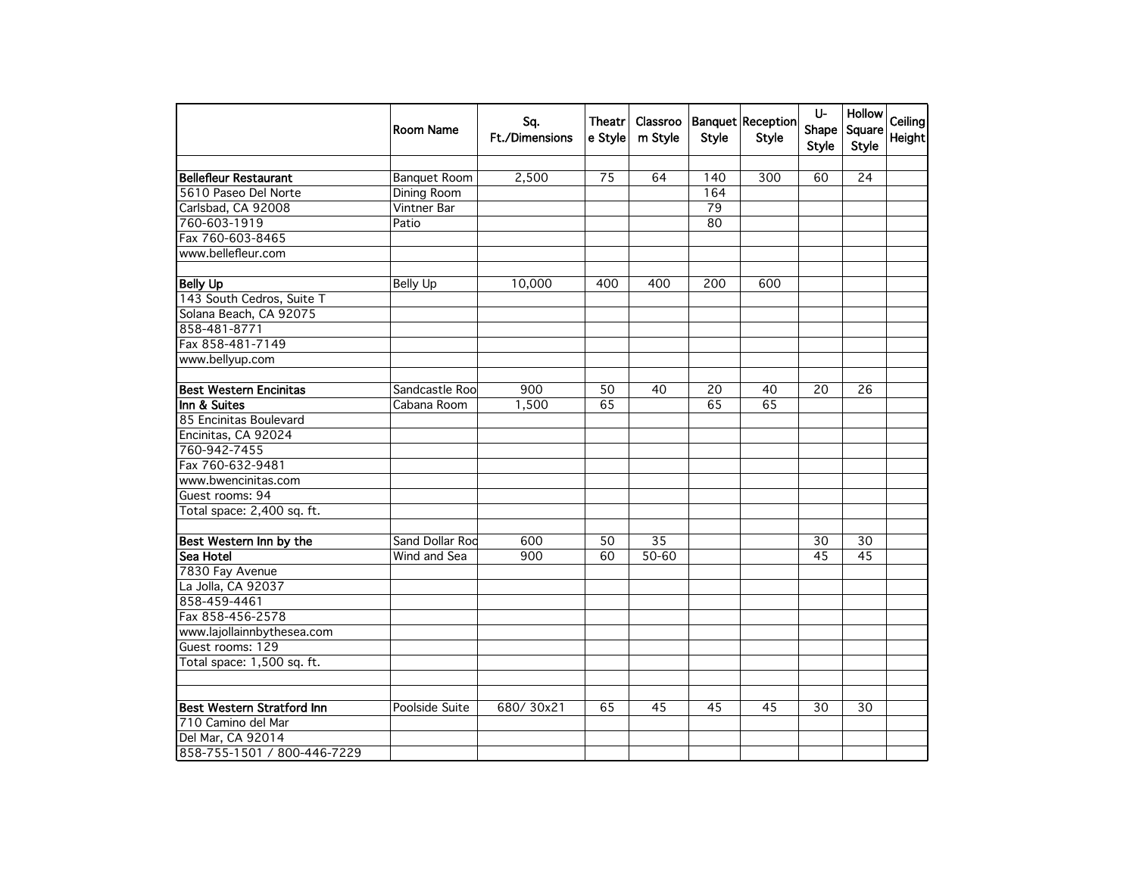|                                   | Room Name           | Sq.<br><b>Ft./Dimensions</b> | Theatr<br>e Style | Classroo<br>m Style | <b>Style</b>    | <b>Banquet Reception</b><br><b>Style</b> | U-<br>Shape<br><b>Style</b> | Hollow<br>Square<br><b>Style</b> | Ceiling<br>Height |
|-----------------------------------|---------------------|------------------------------|-------------------|---------------------|-----------------|------------------------------------------|-----------------------------|----------------------------------|-------------------|
| <b>Bellefleur Restaurant</b>      | <b>Banquet Room</b> | 2,500                        | 75                | 64                  | 140             | 300                                      | 60                          | 24                               |                   |
| 5610 Paseo Del Norte              | <b>Dining Room</b>  |                              |                   |                     | 164             |                                          |                             |                                  |                   |
| Carlsbad, CA 92008                | Vintner Bar         |                              |                   |                     | $\overline{79}$ |                                          |                             |                                  |                   |
| 760-603-1919                      | Patio               |                              |                   |                     | 80              |                                          |                             |                                  |                   |
| Fax 760-603-8465                  |                     |                              |                   |                     |                 |                                          |                             |                                  |                   |
| www.bellefleur.com                |                     |                              |                   |                     |                 |                                          |                             |                                  |                   |
|                                   |                     |                              |                   |                     |                 |                                          |                             |                                  |                   |
| <b>Belly Up</b>                   | <b>Belly Up</b>     | 10,000                       | 400               | 400                 | 200             | 600                                      |                             |                                  |                   |
| 143 South Cedros, Suite T         |                     |                              |                   |                     |                 |                                          |                             |                                  |                   |
| Solana Beach, CA 92075            |                     |                              |                   |                     |                 |                                          |                             |                                  |                   |
| 858-481-8771                      |                     |                              |                   |                     |                 |                                          |                             |                                  |                   |
| Fax 858-481-7149                  |                     |                              |                   |                     |                 |                                          |                             |                                  |                   |
| www.bellyup.com                   |                     |                              |                   |                     |                 |                                          |                             |                                  |                   |
|                                   |                     |                              |                   |                     |                 |                                          |                             |                                  |                   |
| <b>Best Western Encinitas</b>     | Sandcastle Roo      | 900                          | 50                | 40                  | 20              | 40                                       | 20                          | 26                               |                   |
| Inn & Suites                      | Cabana Room         | 1,500                        | 65                |                     | 65              | 65                                       |                             |                                  |                   |
| 85 Encinitas Boulevard            |                     |                              |                   |                     |                 |                                          |                             |                                  |                   |
| Encinitas, CA 92024               |                     |                              |                   |                     |                 |                                          |                             |                                  |                   |
| 760-942-7455                      |                     |                              |                   |                     |                 |                                          |                             |                                  |                   |
| Fax 760-632-9481                  |                     |                              |                   |                     |                 |                                          |                             |                                  |                   |
| www.bwencinitas.com               |                     |                              |                   |                     |                 |                                          |                             |                                  |                   |
| Guest rooms: 94                   |                     |                              |                   |                     |                 |                                          |                             |                                  |                   |
| Total space: 2,400 sq. ft.        |                     |                              |                   |                     |                 |                                          |                             |                                  |                   |
| Best Western Inn by the           | Sand Dollar Rod     | 600                          | 50                | 35                  |                 |                                          | 30                          | 30                               |                   |
| <b>Sea Hotel</b>                  | Wind and Sea        | 900                          | 60                | $50 - 60$           |                 |                                          | 45                          | $\overline{45}$                  |                   |
| 7830 Fay Avenue                   |                     |                              |                   |                     |                 |                                          |                             |                                  |                   |
| La Jolla, CA 92037                |                     |                              |                   |                     |                 |                                          |                             |                                  |                   |
| 858-459-4461                      |                     |                              |                   |                     |                 |                                          |                             |                                  |                   |
| Fax 858-456-2578                  |                     |                              |                   |                     |                 |                                          |                             |                                  |                   |
| www.lajollainnbythesea.com        |                     |                              |                   |                     |                 |                                          |                             |                                  |                   |
| Guest rooms: 129                  |                     |                              |                   |                     |                 |                                          |                             |                                  |                   |
| Total space: 1,500 sq. ft.        |                     |                              |                   |                     |                 |                                          |                             |                                  |                   |
|                                   |                     |                              |                   |                     |                 |                                          |                             |                                  |                   |
|                                   |                     |                              |                   |                     |                 | 45                                       |                             |                                  |                   |
| <b>Best Western Stratford Inn</b> | Poolside Suite      | 680/30x21                    | 65                | 45                  | 45              |                                          | 30                          | 30                               |                   |
| 710 Camino del Mar                |                     |                              |                   |                     |                 |                                          |                             |                                  |                   |
| Del Mar, CA 92014                 |                     |                              |                   |                     |                 |                                          |                             |                                  |                   |
| 858-755-1501 / 800-446-7229       |                     |                              |                   |                     |                 |                                          |                             |                                  |                   |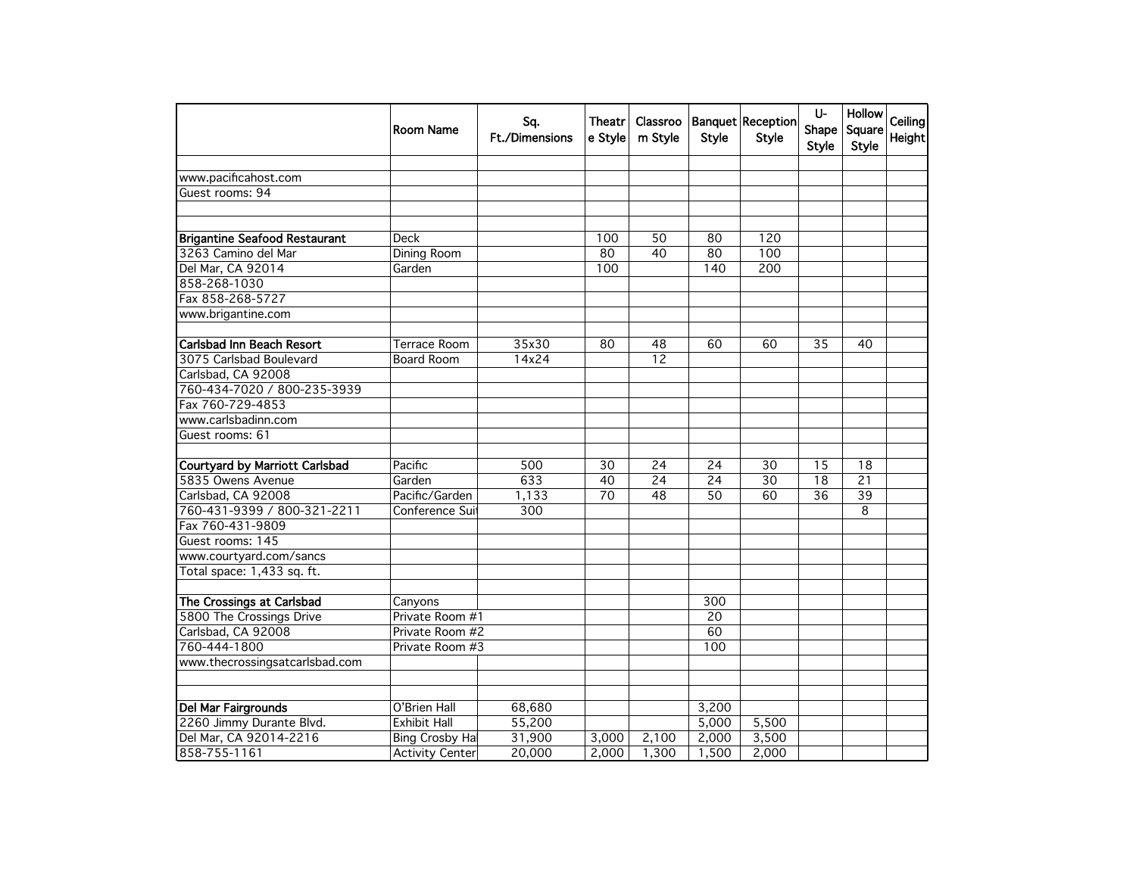|                                       | Room Name              | Sq.<br><b>Ft./Dimensions</b> | Theatr<br>e Style | Classroo<br>m Style | Style           | <b>Banquet Reception</b><br>Style | U-<br>Shape<br>Style | Hollow<br>Square<br><b>Style</b> | Ceiling<br>Height |
|---------------------------------------|------------------------|------------------------------|-------------------|---------------------|-----------------|-----------------------------------|----------------------|----------------------------------|-------------------|
| www.pacificahost.com                  |                        |                              |                   |                     |                 |                                   |                      |                                  |                   |
| Guest rooms: 94                       |                        |                              |                   |                     |                 |                                   |                      |                                  |                   |
|                                       |                        |                              |                   |                     |                 |                                   |                      |                                  |                   |
|                                       |                        |                              |                   |                     |                 |                                   |                      |                                  |                   |
| <b>Brigantine Seafood Restaurant</b>  | <b>Deck</b>            |                              | 100               | 50                  | 80              | 120                               |                      |                                  |                   |
| 3263 Camino del Mar                   | Dining Room            |                              | 80                | 40                  | 80              | 100                               |                      |                                  |                   |
| Del Mar, CA 92014                     | Garden                 |                              | 100               |                     | 140             | 200                               |                      |                                  |                   |
| 858-268-1030                          |                        |                              |                   |                     |                 |                                   |                      |                                  |                   |
| Fax 858-268-5727                      |                        |                              |                   |                     |                 |                                   |                      |                                  |                   |
| www.brigantine.com                    |                        |                              |                   |                     |                 |                                   |                      |                                  |                   |
|                                       |                        |                              |                   |                     |                 |                                   |                      |                                  |                   |
| <b>Carlsbad Inn Beach Resort</b>      | <b>Terrace Room</b>    | 35x30                        | 80                | 48                  | 60              | 60                                | $\overline{35}$      | 40                               |                   |
| 3075 Carlsbad Boulevard               | <b>Board Room</b>      | 14x24                        |                   | 12                  |                 |                                   |                      |                                  |                   |
| Carlsbad, CA 92008                    |                        |                              |                   |                     |                 |                                   |                      |                                  |                   |
| 760-434-7020 / 800-235-3939           |                        |                              |                   |                     |                 |                                   |                      |                                  |                   |
| Fax 760-729-4853                      |                        |                              |                   |                     |                 |                                   |                      |                                  |                   |
| www.carlsbadinn.com                   |                        |                              |                   |                     |                 |                                   |                      |                                  |                   |
| Guest rooms: 61                       |                        |                              |                   |                     |                 |                                   |                      |                                  |                   |
|                                       |                        |                              |                   |                     |                 |                                   |                      |                                  |                   |
| <b>Courtyard by Marriott Carlsbad</b> | Pacific                | 500                          | 30                | 24                  | 24              | 30                                | 15                   | 18                               |                   |
| 5835 Owens Avenue                     | Garden                 | 633                          | 40                | 24                  | $\overline{24}$ | $\overline{30}$                   | $\overline{18}$      | $\overline{21}$                  |                   |
| Carlsbad, CA 92008                    | Pacific/Garden         | 1,133                        | 70                | 48                  | 50              | $\overline{60}$                   | $\overline{36}$      | $\overline{39}$                  |                   |
| 760-431-9399 / 800-321-2211           | Conference Sui         | 300                          |                   |                     |                 |                                   |                      | 8                                |                   |
| Fax 760-431-9809                      |                        |                              |                   |                     |                 |                                   |                      |                                  |                   |
| Guest rooms: 145                      |                        |                              |                   |                     |                 |                                   |                      |                                  |                   |
| www.courtyard.com/sancs               |                        |                              |                   |                     |                 |                                   |                      |                                  |                   |
| Total space: 1,433 sq. ft.            |                        |                              |                   |                     |                 |                                   |                      |                                  |                   |
|                                       |                        |                              |                   |                     |                 |                                   |                      |                                  |                   |
| The Crossings at Carlsbad             | Canyons                |                              |                   |                     | 300             |                                   |                      |                                  |                   |
| 5800 The Crossings Drive              | Private Room #1        |                              |                   |                     | 20              |                                   |                      |                                  |                   |
| Carlsbad, CA 92008                    | Private Room #2        |                              |                   |                     | 60              |                                   |                      |                                  |                   |
| 760-444-1800                          | Private Room #3        |                              |                   |                     | 100             |                                   |                      |                                  |                   |
| www.thecrossingsatcarlsbad.com        |                        |                              |                   |                     |                 |                                   |                      |                                  |                   |
|                                       |                        |                              |                   |                     |                 |                                   |                      |                                  |                   |
|                                       |                        |                              |                   |                     |                 |                                   |                      |                                  |                   |
| Del Mar Fairgrounds                   | O'Brien Hall           | 68,680                       |                   |                     | 3,200           |                                   |                      |                                  |                   |
| 2260 Jimmy Durante Blvd.              | <b>Exhibit Hall</b>    | 55,200                       |                   |                     | 5,000           | 5,500                             |                      |                                  |                   |
| Del Mar, CA 92014-2216                | <b>Bing Crosby Hal</b> | 31,900                       | 3,000             | 2,100               | 2,000           | 3,500                             |                      |                                  |                   |
| 858-755-1161                          | <b>Activity Center</b> | 20,000                       | 2,000             | 1,300               | 1,500           | 2,000                             |                      |                                  |                   |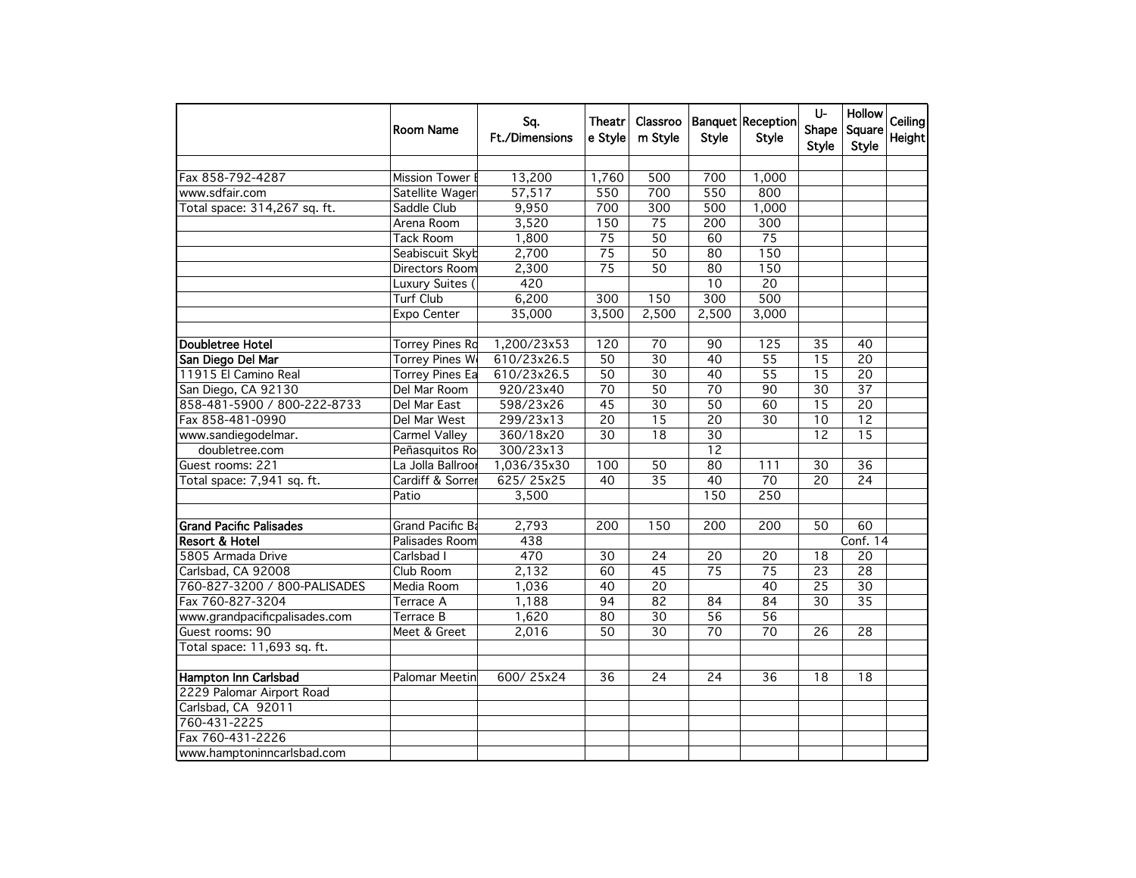|                                | Room Name              | Sq.<br><b>Ft./Dimensions</b> | Theatr<br>e Style | Classroo<br>m Style | Style            | Banquet Reception<br><b>Style</b> | U-<br>Shape<br>Style | <b>Hollow</b><br>Square<br><b>Style</b> | Ceiling<br>Height |
|--------------------------------|------------------------|------------------------------|-------------------|---------------------|------------------|-----------------------------------|----------------------|-----------------------------------------|-------------------|
| Fax 858-792-4287               | Mission Tower B        | 13,200                       | 1,760             | 500                 | 700              | 1,000                             |                      |                                         |                   |
| www.sdfair.com                 | Satellite Wager        | 57,517                       | 550               | 700                 | 550              | 800                               |                      |                                         |                   |
| Total space: 314,267 sq. ft.   | Saddle Club            | 9,950                        | 700               | 300                 | $\overline{500}$ | 1,000                             |                      |                                         |                   |
|                                | Arena Room             | 3,520                        | 150               | $\overline{75}$     | 200              | $\overline{300}$                  |                      |                                         |                   |
|                                | <b>Tack Room</b>       | 1,800                        | $\overline{75}$   | 50                  | 60               | $\overline{75}$                   |                      |                                         |                   |
|                                | Seabiscuit Skyb        | 2,700                        | $\overline{75}$   | $\overline{50}$     | 80               | 150                               |                      |                                         |                   |
|                                | Directors Room         | 2,300                        | $\overline{75}$   | 50                  | 80               | 150                               |                      |                                         |                   |
|                                | Luxury Suites (        | 420                          |                   |                     | 10               | $\overline{20}$                   |                      |                                         |                   |
|                                | <b>Turf Club</b>       | 6,200                        | 300               | 150                 | 300              | $\overline{500}$                  |                      |                                         |                   |
|                                | Expo Center            | 35,000                       | 3,500             | 2,500               | 2,500            | 3,000                             |                      |                                         |                   |
|                                |                        |                              |                   |                     |                  |                                   |                      |                                         |                   |
| <b>Doubletree Hotel</b>        | <b>Torrey Pines Rd</b> | 1,200/23x53                  | 120               | 70                  | 90               | 125                               | 35                   | 40                                      |                   |
| San Diego Del Mar              | <b>Torrey Pines We</b> | 610/23x26.5                  | $\overline{50}$   | $\overline{30}$     | 40               | $\overline{55}$                   | $\overline{15}$      | $\overline{20}$                         |                   |
| 11915 El Camino Real           | <b>Torrey Pines Ea</b> | 610/23x26.5                  | $\overline{50}$   | $\overline{30}$     | $\overline{40}$  | $\overline{55}$                   | $\overline{15}$      | $\overline{20}$                         |                   |
| San Diego, CA 92130            | Del Mar Room           | 920/23x40                    | $\overline{70}$   | 50                  | $\overline{70}$  | $\overline{90}$                   | 30                   | $\overline{37}$                         |                   |
| 858-481-5900 / 800-222-8733    | Del Mar East           | 598/23x26                    | $\overline{45}$   | $\overline{30}$     | $\overline{50}$  | 60                                | $\overline{15}$      | $\overline{20}$                         |                   |
| Fax 858-481-0990               | Del Mar West           | 299/23x13                    | $\overline{20}$   | $\overline{15}$     | $\overline{20}$  | $\overline{30}$                   | 10                   | $\overline{12}$                         |                   |
| www.sandiegodelmar.            | Carmel Valley          | 360/18x20                    | 30                | $\overline{18}$     | 30               |                                   | $\overline{12}$      | $\overline{15}$                         |                   |
| doubletree.com                 | Peñasquitos Ro         | 300/23x13                    |                   |                     | 12               |                                   |                      |                                         |                   |
| Guest rooms: 221               | La Jolla Ballroor      | 1,036/35x30                  | 100               | 50                  | 80               | 111                               | 30                   | $\overline{36}$                         |                   |
| Total space: 7,941 sq. ft.     | Cardiff & Sorrer       | 625/25x25                    | 40                | $\overline{35}$     | 40               | $\overline{70}$                   | $\overline{20}$      | $\overline{24}$                         |                   |
|                                | Patio                  | 3,500                        |                   |                     | 150              | 250                               |                      |                                         |                   |
|                                |                        |                              |                   |                     |                  |                                   |                      |                                         |                   |
| <b>Grand Pacific Palisades</b> | Grand Pacific Ba       | 2,793                        | 200               | 150                 | 200              | 200                               | 50                   | 60                                      |                   |
| Resort & Hotel                 | Palisades Room         | 438                          |                   |                     |                  |                                   |                      | Conf. 14                                |                   |
| 5805 Armada Drive              | Carlsbad I             | 470                          | 30                | 24                  | 20               | 20                                | 18                   | 20                                      |                   |
| Carlsbad, CA 92008             | Club Room              | 2,132                        | 60                | 45                  | 75               | $\overline{75}$                   | $\overline{23}$      | $\overline{28}$                         |                   |
| 760-827-3200 / 800-PALISADES   | Media Room             | 1,036                        | 40                | 20                  |                  | $\overline{40}$                   | $\overline{25}$      | 30                                      |                   |
| Fax 760-827-3204               | Terrace A              | 1,188                        | 94                | 82                  | 84               | 84                                | 30                   | $\overline{35}$                         |                   |
| www.grandpacificpalisades.com  | <b>Terrace B</b>       | 1,620                        | 80                | $\overline{30}$     | 56               | 56                                |                      |                                         |                   |
| Guest rooms: 90                | Meet & Greet           | 2,016                        | 50                | $\overline{30}$     | 70               | $\overline{70}$                   | $\overline{26}$      | 28                                      |                   |
| Total space: 11,693 sq. ft.    |                        |                              |                   |                     |                  |                                   |                      |                                         |                   |
| Hampton Inn Carlsbad           | Palomar Meetin         | 600/25x24                    | $\overline{36}$   | $\overline{24}$     | $\overline{24}$  | 36                                | 18                   | 18                                      |                   |
| 2229 Palomar Airport Road      |                        |                              |                   |                     |                  |                                   |                      |                                         |                   |
| Carlsbad, CA 92011             |                        |                              |                   |                     |                  |                                   |                      |                                         |                   |
| 760-431-2225                   |                        |                              |                   |                     |                  |                                   |                      |                                         |                   |
| Fax 760-431-2226               |                        |                              |                   |                     |                  |                                   |                      |                                         |                   |
| www.hamptoninncarlsbad.com     |                        |                              |                   |                     |                  |                                   |                      |                                         |                   |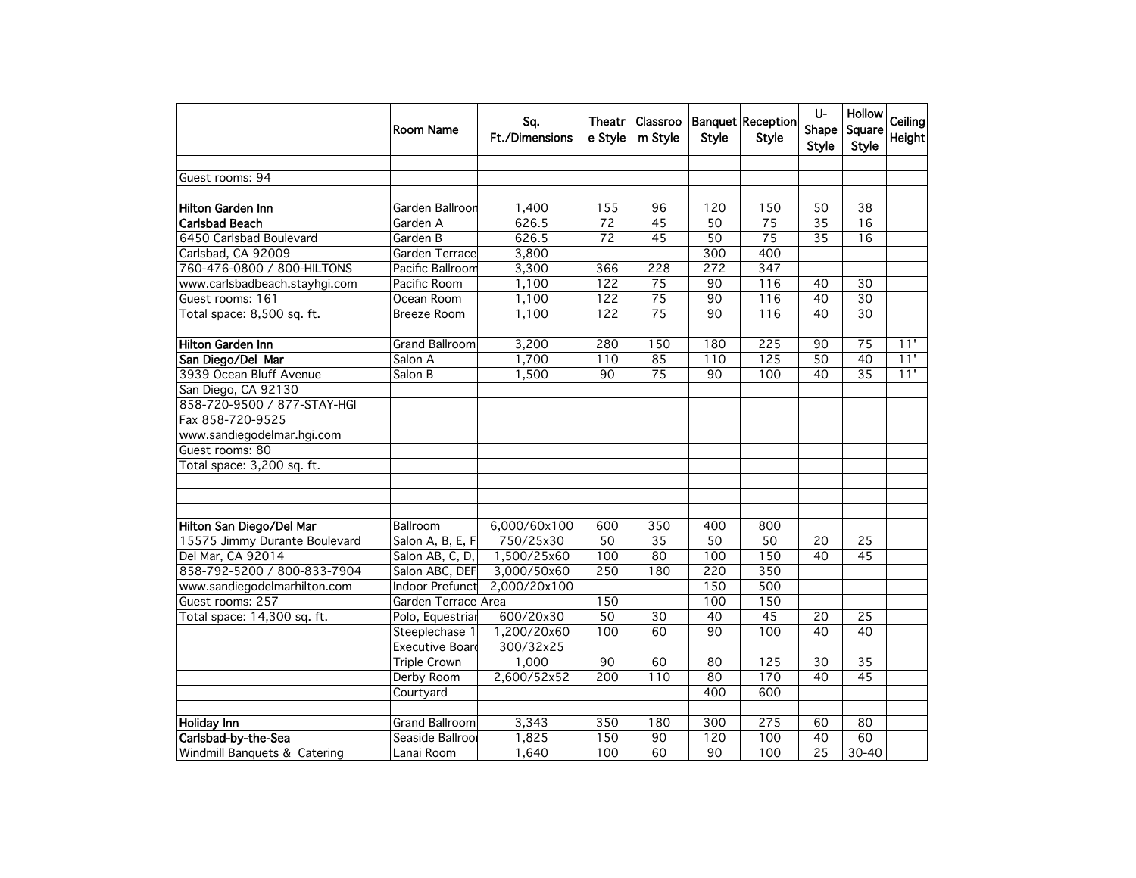|                               | Room Name             | Sq.<br><b>Ft./Dimensions</b> | Theatr<br>e Style | Classroo<br>m Style | <b>Style</b>    | <b>Banquet Reception</b><br><b>Style</b> | U-<br>Shape<br>Style | Hollow<br>Square<br><b>Style</b> | Ceiling<br>Height |
|-------------------------------|-----------------------|------------------------------|-------------------|---------------------|-----------------|------------------------------------------|----------------------|----------------------------------|-------------------|
| Guest rooms: 94               |                       |                              |                   |                     |                 |                                          |                      |                                  |                   |
|                               |                       |                              |                   |                     |                 |                                          |                      |                                  |                   |
| <b>Hilton Garden Inn</b>      | Garden Ballroon       | 1,400                        | 155               | 96                  | 120             | 150                                      | 50                   | 38                               |                   |
| <b>Carlsbad Beach</b>         | Garden A              | 626.5                        | $\overline{72}$   | $\overline{45}$     | $\overline{50}$ | $\overline{75}$                          | $\overline{35}$      | $\overline{16}$                  |                   |
| 6450 Carlsbad Boulevard       | Garden B              | 626.5                        | $\overline{72}$   | $\overline{45}$     | 50              | $\overline{75}$                          | $\overline{35}$      | 16                               |                   |
| Carlsbad, CA 92009            | Garden Terrace        | 3,800                        |                   |                     | 300             | 400                                      |                      |                                  |                   |
| 760-476-0800 / 800-HILTONS    | Pacific Ballroom      | 3,300                        | 366               | 228                 | 272             | 347                                      |                      |                                  |                   |
| www.carlsbadbeach.stayhgi.com | Pacific Room          | 1,100                        | 122               | 75                  | 90              | 116                                      | 40                   | 30                               |                   |
| Guest rooms: 161              | Ocean Room            | 1,100                        | $\overline{122}$  | $\overline{75}$     | 90              | 116                                      | 40                   | $\overline{30}$                  |                   |
| Total space: 8,500 sq. ft.    | <b>Breeze Room</b>    | 1,100                        | $\overline{122}$  | $\overline{75}$     | $\overline{90}$ | 116                                      | 40                   | $\overline{30}$                  |                   |
| <b>Hilton Garden Inn</b>      | <b>Grand Ballroom</b> | 3,200                        | 280               | 150                 | 180             | 225                                      | 90                   | 75                               | 11'               |
| San Diego/Del Mar             | Salon A               | 1,700                        | 110               | 85                  | 110             | $\overline{125}$                         | $\overline{50}$      | $\overline{40}$                  | 11'               |
| 3939 Ocean Bluff Avenue       | Salon B               | 1,500                        | $\overline{90}$   | $\overline{75}$     | 90              | 100                                      | 40                   | $\overline{35}$                  | 11'               |
| San Diego, CA 92130           |                       |                              |                   |                     |                 |                                          |                      |                                  |                   |
| 858-720-9500 / 877-STAY-HGI   |                       |                              |                   |                     |                 |                                          |                      |                                  |                   |
| Fax 858-720-9525              |                       |                              |                   |                     |                 |                                          |                      |                                  |                   |
| www.sandiegodelmar.hgi.com    |                       |                              |                   |                     |                 |                                          |                      |                                  |                   |
| Guest rooms: 80               |                       |                              |                   |                     |                 |                                          |                      |                                  |                   |
| Total space: 3,200 sq. ft.    |                       |                              |                   |                     |                 |                                          |                      |                                  |                   |
|                               |                       |                              |                   |                     |                 |                                          |                      |                                  |                   |
| Hilton San Diego/Del Mar      | Ballroom              | 6,000/60x100                 | 600               | 350                 | 400             | 800                                      |                      |                                  |                   |
| 15575 Jimmy Durante Boulevard | Salon A, B, E, F      | 750/25x30                    | $\overline{50}$   | 35                  | $\overline{50}$ | 50                                       | 20                   | 25                               |                   |
| Del Mar, CA 92014             | Salon AB, C, D,       | 1,500/25x60                  | 100               | 80                  | 100             | 150                                      | 40                   | 45                               |                   |
| 858-792-5200 / 800-833-7904   | Salon ABC, DEF        | 3,000/50x60                  | 250               | 180                 | 220             | 350                                      |                      |                                  |                   |
| www.sandiegodelmarhilton.com  | Indoor Prefunct       | 2,000/20x100                 |                   |                     | 150             | 500                                      |                      |                                  |                   |
| Guest rooms: 257              | Garden Terrace Area   |                              | 150               |                     | 100             | 150                                      |                      |                                  |                   |
| Total space: 14,300 sq. ft.   | Polo, Equestriar      | 600/20x30                    | 50                | 30                  | 40              | $\overline{45}$                          | 20                   | $\overline{25}$                  |                   |
|                               | Steeplechase 1        | 1,200/20x60                  | 100               | 60                  | $\overline{90}$ | 100                                      | $\overline{40}$      | $\overline{40}$                  |                   |
|                               | Executive Board       | 300/32x25                    |                   |                     |                 |                                          |                      |                                  |                   |
|                               | <b>Triple Crown</b>   | 1,000                        | 90                | 60                  | 80              | 125                                      | 30                   | $\overline{35}$                  |                   |
|                               | Derby Room            | 2,600/52x52                  | 200               | 110                 | 80              | 170                                      | 40                   | $\overline{45}$                  |                   |
|                               | Courtyard             |                              |                   |                     | 400             | 600                                      |                      |                                  |                   |
|                               |                       |                              |                   |                     |                 |                                          |                      |                                  |                   |
| <b>Holiday Inn</b>            | <b>Grand Ballroom</b> | 3,343                        | 350               | 180                 | 300             | 275                                      | 60                   | 80                               |                   |
| Carlsbad-by-the-Sea           | Seaside Ballrool      | 1,825                        | 150               | 90                  | 120             | 100                                      | 40                   | 60                               |                   |
| Windmill Banquets & Catering  | Lanai Room            | 1,640                        | 100               | 60                  | 90              | 100                                      | 25                   | 30-40                            |                   |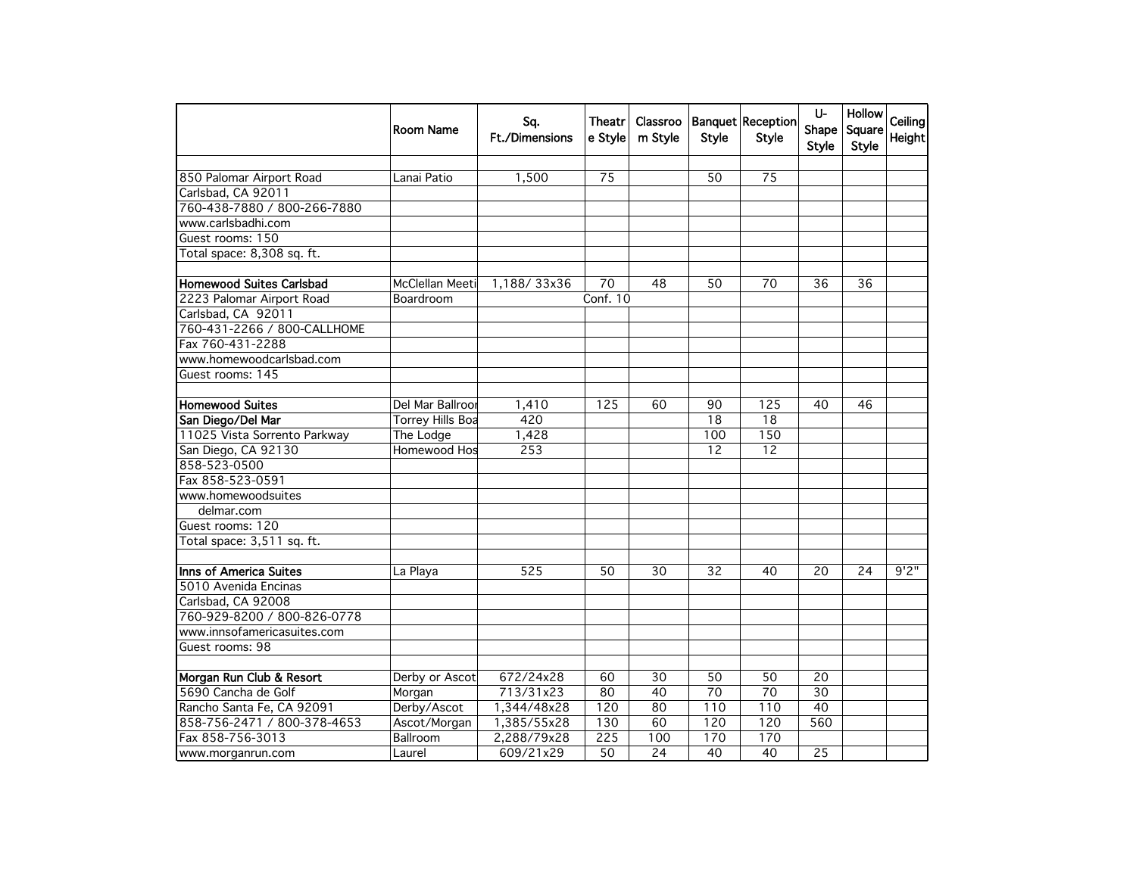|                                 | Room Name               | Sq.<br><b>Ft./Dimensions</b> | Theatr<br>e Style | Classroo<br>m Style | <b>Style</b>    | Banquet Reception<br><b>Style</b> | U-<br>Shape<br>Style | <b>Hollow</b><br>Square<br><b>Style</b> | Ceiling<br>Height |
|---------------------------------|-------------------------|------------------------------|-------------------|---------------------|-----------------|-----------------------------------|----------------------|-----------------------------------------|-------------------|
|                                 |                         |                              |                   |                     |                 |                                   |                      |                                         |                   |
| 850 Palomar Airport Road        | Lanai Patio             | 1,500                        | 75                |                     | 50              | 75                                |                      |                                         |                   |
| Carlsbad, CA 92011              |                         |                              |                   |                     |                 |                                   |                      |                                         |                   |
| 760-438-7880 / 800-266-7880     |                         |                              |                   |                     |                 |                                   |                      |                                         |                   |
| www.carlsbadhi.com              |                         |                              |                   |                     |                 |                                   |                      |                                         |                   |
| Guest rooms: 150                |                         |                              |                   |                     |                 |                                   |                      |                                         |                   |
| Total space: 8,308 sq. ft.      |                         |                              |                   |                     |                 |                                   |                      |                                         |                   |
| <b>Homewood Suites Carlsbad</b> | McClellan Meeti         | 1,188/33x36                  | 70                | 48                  | 50              | 70                                | 36                   | 36                                      |                   |
| 2223 Palomar Airport Road       | Boardroom               |                              | Conf. 10          |                     |                 |                                   |                      |                                         |                   |
| Carlsbad, CA 92011              |                         |                              |                   |                     |                 |                                   |                      |                                         |                   |
| 760-431-2266 / 800-CALLHOME     |                         |                              |                   |                     |                 |                                   |                      |                                         |                   |
| Fax 760-431-2288                |                         |                              |                   |                     |                 |                                   |                      |                                         |                   |
| www.homewoodcarlsbad.com        |                         |                              |                   |                     |                 |                                   |                      |                                         |                   |
| Guest rooms: 145                |                         |                              |                   |                     |                 |                                   |                      |                                         |                   |
|                                 |                         |                              |                   |                     |                 |                                   |                      |                                         |                   |
| <b>Homewood Suites</b>          | Del Mar Ballroor        | 1,410                        | 125               | 60                  | 90              | 125                               | 40                   | 46                                      |                   |
| San Diego/Del Mar               | <b>Torrey Hills Boa</b> | 420                          |                   |                     | 18              | 18                                |                      |                                         |                   |
| 11025 Vista Sorrento Parkway    | The Lodge               | 1,428                        |                   |                     | 100             | 150                               |                      |                                         |                   |
| San Diego, CA 92130             | Homewood Hos            | 253                          |                   |                     | 12              | 12                                |                      |                                         |                   |
| 858-523-0500                    |                         |                              |                   |                     |                 |                                   |                      |                                         |                   |
| Fax 858-523-0591                |                         |                              |                   |                     |                 |                                   |                      |                                         |                   |
| www.homewoodsuites              |                         |                              |                   |                     |                 |                                   |                      |                                         |                   |
| delmar.com                      |                         |                              |                   |                     |                 |                                   |                      |                                         |                   |
| Guest rooms: 120                |                         |                              |                   |                     |                 |                                   |                      |                                         |                   |
| Total space: 3,511 sq. ft.      |                         |                              |                   |                     |                 |                                   |                      |                                         |                   |
|                                 |                         |                              |                   |                     |                 |                                   |                      |                                         |                   |
| Inns of America Suites          | La Playa                | 525                          | 50                | 30                  | $\overline{32}$ | 40                                | $\overline{20}$      | 24                                      | 9'2''             |
| 5010 Avenida Encinas            |                         |                              |                   |                     |                 |                                   |                      |                                         |                   |
| Carlsbad, CA 92008              |                         |                              |                   |                     |                 |                                   |                      |                                         |                   |
| 760-929-8200 / 800-826-0778     |                         |                              |                   |                     |                 |                                   |                      |                                         |                   |
| www.innsofamericasuites.com     |                         |                              |                   |                     |                 |                                   |                      |                                         |                   |
| Guest rooms: 98                 |                         |                              |                   |                     |                 |                                   |                      |                                         |                   |
|                                 |                         |                              |                   |                     |                 |                                   |                      |                                         |                   |
| Morgan Run Club & Resort        | Derby or Ascot          | 672/24x28                    | 60                | 30                  | 50              | $\overline{50}$                   | $\overline{20}$      |                                         |                   |
| 5690 Cancha de Golf             | Morgan                  | 713/31x23                    | 80                | 40                  | $\overline{70}$ | 70                                | 30                   |                                         |                   |
| Rancho Santa Fe, CA 92091       | Derby/Ascot             | 1,344/48x28                  | 120               | 80                  | 110             | 110                               | 40                   |                                         |                   |
| 858-756-2471 / 800-378-4653     | Ascot/Morgan            | 1,385/55x28                  | 130               | 60                  | 120             | 120                               | 560                  |                                         |                   |
| Fax 858-756-3013                | Ballroom                | 2,288/79x28                  | 225               | 100                 | 170             | 170                               |                      |                                         |                   |
| www.morganrun.com               | Laurel                  | 609/21x29                    | 50                | 24                  | 40              | 40                                | 25                   |                                         |                   |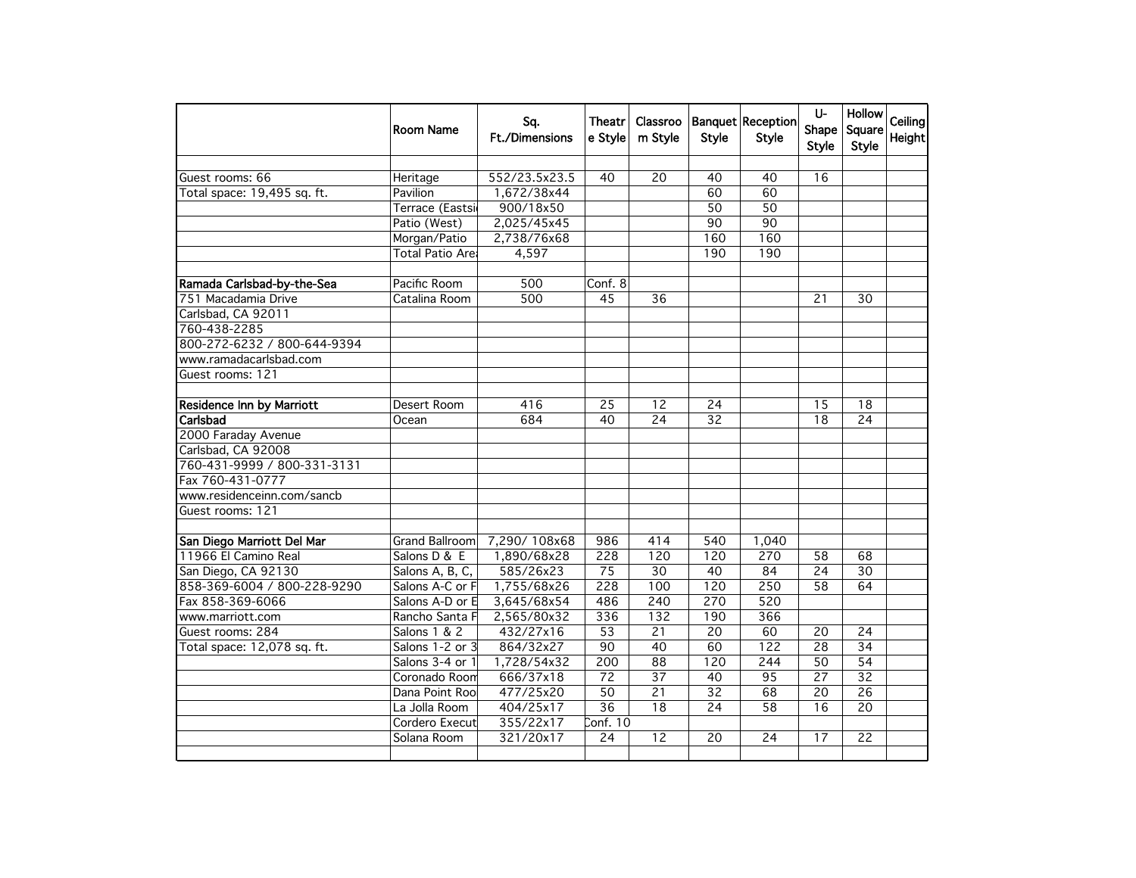|                                  | Room Name        | Sq.<br><b>Ft./Dimensions</b> | Theatr<br>e Style | Classroo<br>m Style | <b>Style</b>    | Banquet Reception<br><b>Style</b> | U-<br>Shape<br><b>Style</b> | <b>Hollow</b><br>Square<br><b>Style</b> | Ceiling<br>Height |
|----------------------------------|------------------|------------------------------|-------------------|---------------------|-----------------|-----------------------------------|-----------------------------|-----------------------------------------|-------------------|
| Guest rooms: 66                  | Heritage         | 552/23.5x23.5                | 40                | 20                  | 40              | 40                                | 16                          |                                         |                   |
| Total space: 19,495 sq. ft.      | Pavilion         | 1,672/38x44                  |                   |                     | 60              | 60                                |                             |                                         |                   |
|                                  | Terrace (Eastsi  | 900/18x50                    |                   |                     | 50              | 50                                |                             |                                         |                   |
|                                  | Patio (West)     | 2,025/45x45                  |                   |                     | 90              | $\overline{90}$                   |                             |                                         |                   |
|                                  | Morgan/Patio     | 2,738/76x68                  |                   |                     | 160             | 160                               |                             |                                         |                   |
|                                  | Total Patio Arel | 4,597                        |                   |                     | 190             | 190                               |                             |                                         |                   |
|                                  |                  |                              |                   |                     |                 |                                   |                             |                                         |                   |
| Ramada Carlsbad-by-the-Sea       | Pacific Room     | 500                          | Conf. 8           |                     |                 |                                   |                             |                                         |                   |
| 751 Macadamia Drive              | Catalina Room    | 500                          | 45                | 36                  |                 |                                   | 21                          | 30                                      |                   |
| Carlsbad, CA 92011               |                  |                              |                   |                     |                 |                                   |                             |                                         |                   |
| 760-438-2285                     |                  |                              |                   |                     |                 |                                   |                             |                                         |                   |
| 800-272-6232 / 800-644-9394      |                  |                              |                   |                     |                 |                                   |                             |                                         |                   |
| www.ramadacarlsbad.com           |                  |                              |                   |                     |                 |                                   |                             |                                         |                   |
| Guest rooms: 121                 |                  |                              |                   |                     |                 |                                   |                             |                                         |                   |
|                                  |                  |                              |                   |                     |                 |                                   |                             |                                         |                   |
| <b>Residence Inn by Marriott</b> | Desert Room      | 416                          | 25                | 12                  | 24              |                                   | 15                          | 18                                      |                   |
| Carlsbad                         | Ocean            | 684                          | 40                | $\overline{24}$     | $\overline{32}$ |                                   | 18                          | $\overline{24}$                         |                   |
| 2000 Faraday Avenue              |                  |                              |                   |                     |                 |                                   |                             |                                         |                   |
| Carlsbad, CA 92008               |                  |                              |                   |                     |                 |                                   |                             |                                         |                   |
| 760-431-9999 / 800-331-3131      |                  |                              |                   |                     |                 |                                   |                             |                                         |                   |
| Fax 760-431-0777                 |                  |                              |                   |                     |                 |                                   |                             |                                         |                   |
| www.residenceinn.com/sancb       |                  |                              |                   |                     |                 |                                   |                             |                                         |                   |
| Guest rooms: 121                 |                  |                              |                   |                     |                 |                                   |                             |                                         |                   |
| San Diego Marriott Del Mar       | Grand Ballroom   | 7,290/108x68                 | 986               | 414                 | 540             | 1,040                             |                             |                                         |                   |
| 11966 El Camino Real             | Salons D & E     | 1,890/68x28                  | 228               | 120                 | 120             | 270                               | 58                          | 68                                      |                   |
| San Diego, CA 92130              | Salons A, B, C,  | 585/26x23                    | $\overline{75}$   | 30                  | 40              | 84                                | 24                          | 30                                      |                   |
| 858-369-6004 / 800-228-9290      | Salons A-C or F  | 1,755/68x26                  | 228               | 100                 | 120             | 250                               | 58                          | 64                                      |                   |
| Fax 858-369-6066                 | Salons A-D or E  | 3,645/68x54                  | 486               | 240                 | 270             | 520                               |                             |                                         |                   |
| www.marriott.com                 | Rancho Santa F   | 2,565/80x32                  | 336               | 132                 | 190             | 366                               |                             |                                         |                   |
| Guest rooms: 284                 | Salons 1 & 2     | 432/27x16                    | $\overline{53}$   | 21                  | $\overline{20}$ | 60                                | 20                          | 24                                      |                   |
| Total space: 12,078 sq. ft.      | Salons 1-2 or 3  | 864/32x27                    | $\overline{90}$   | 40                  | 60              | 122                               | $\overline{28}$             | $\overline{34}$                         |                   |
|                                  | Salons 3-4 or 1  | 1,728/54x32                  | 200               | 88                  | 120             | 244                               | 50                          | 54                                      |                   |
|                                  | Coronado Room    | 666/37x18                    | $\overline{72}$   | 37                  | 40              | 95                                | 27                          | $\overline{32}$                         |                   |
|                                  | Dana Point Roo   | 477/25x20                    | $\overline{50}$   | $\overline{21}$     | $\overline{32}$ | 68                                | $\overline{20}$             | $\overline{26}$                         |                   |
|                                  | La Jolla Room    | 404/25x17                    | $\overline{36}$   | 18                  | 24              | 58                                | 16                          | 20                                      |                   |
|                                  | Cordero Execut   | 355/22x17                    | Conf. $10$        |                     |                 |                                   |                             |                                         |                   |
|                                  | Solana Room      | 321/20x17                    | $\overline{24}$   | 12                  | 20              | $\overline{24}$                   | 17                          | $\overline{22}$                         |                   |
|                                  |                  |                              |                   |                     |                 |                                   |                             |                                         |                   |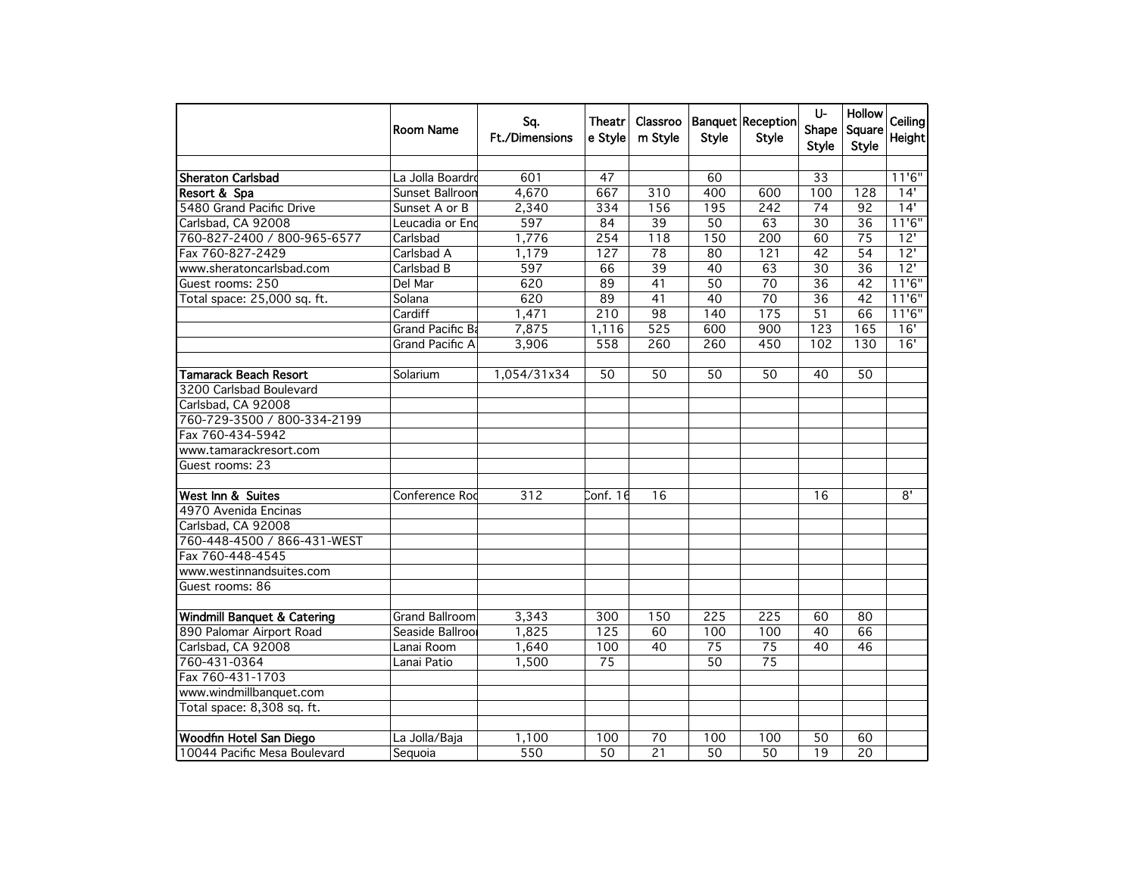|                                        | Room Name              | Sq.<br><b>Ft./Dimensions</b> | Theatr<br>e Style | Classroo<br>m Style | <b>Style</b>    | <b>Banquet Reception</b><br><b>Style</b> | U-<br>Shape<br><b>Style</b> | <b>Hollow</b><br>Square<br><b>Style</b> | Ceiling<br>Height |
|----------------------------------------|------------------------|------------------------------|-------------------|---------------------|-----------------|------------------------------------------|-----------------------------|-----------------------------------------|-------------------|
|                                        |                        |                              |                   |                     |                 |                                          |                             |                                         |                   |
| <b>Sheraton Carlsbad</b>               | La Jolla Boardrd       | 601                          | 47                |                     | 60              |                                          | 33                          |                                         | 11'6''            |
| Resort & Spa                           | Sunset Ballroon        | 4,670                        | 667               | 310                 | 400             | 600                                      | 100                         | 128                                     | 14'               |
| 5480 Grand Pacific Drive               | Sunset A or B          | 2,340                        | 334               | 156                 | 195             | 242                                      | $\overline{74}$             | $\overline{92}$                         | 14'               |
| Carlsbad, CA 92008                     | Leucadia or End        | 597                          | 84                | 39                  | $\overline{50}$ | 63                                       | $\overline{30}$             | $\overline{36}$                         | 11'6''            |
| 760-827-2400 / 800-965-6577            | Carlsbad               | 1,776                        | 254               | 118                 | 150             | 200                                      | 60                          | 75                                      | 12'               |
| Fax 760-827-2429                       | Carlsbad A             | 1,179                        | 127               | $\overline{78}$     | 80              | 121                                      | 42                          | 54                                      | 12'               |
| www.sheratoncarlsbad.com               | Carlsbad B             | 597                          | 66                | $\overline{39}$     | 40              | 63                                       | $\overline{30}$             | $\overline{36}$                         | $\overline{12}$   |
| Guest rooms: 250                       | Del Mar                | 620                          | 89                | 41                  | 50              | $\overline{70}$                          | $\overline{36}$             | $\overline{42}$                         | 11'6''            |
| Total space: 25,000 sq. ft.            | Solana                 | 620                          | 89                | 41                  | 40              | 70                                       | 36                          | $\overline{42}$                         | 11'6''            |
|                                        | Cardiff                | 1,471                        | $\overline{210}$  | $\overline{98}$     | 140             | 175                                      | $\overline{51}$             | 66                                      | 11'6''            |
|                                        | Grand Pacific Ba       | 7,875                        | 1,116             | $\overline{525}$    | 600             | 900                                      | 123                         | 165                                     | 16'               |
|                                        | <b>Grand Pacific A</b> | 3,906                        | 558               | 260                 | 260             | 450                                      | 102                         | 130                                     | 16'               |
| <b>Tamarack Beach Resort</b>           | Solarium               | 1,054/31x34                  | 50                | 50                  | 50              | 50                                       | 40                          | $\overline{50}$                         |                   |
| 3200 Carlsbad Boulevard                |                        |                              |                   |                     |                 |                                          |                             |                                         |                   |
| Carlsbad, CA 92008                     |                        |                              |                   |                     |                 |                                          |                             |                                         |                   |
| 760-729-3500 / 800-334-2199            |                        |                              |                   |                     |                 |                                          |                             |                                         |                   |
| Fax 760-434-5942                       |                        |                              |                   |                     |                 |                                          |                             |                                         |                   |
| www.tamarackresort.com                 |                        |                              |                   |                     |                 |                                          |                             |                                         |                   |
| Guest rooms: 23                        |                        |                              |                   |                     |                 |                                          |                             |                                         |                   |
|                                        |                        |                              |                   |                     |                 |                                          |                             |                                         |                   |
| West Inn & Suites                      | Conference Rod         | $\overline{312}$             | Conf. 16          | 16                  |                 |                                          | 16                          |                                         | $\overline{8}$    |
| 4970 Avenida Encinas                   |                        |                              |                   |                     |                 |                                          |                             |                                         |                   |
| Carlsbad, CA 92008                     |                        |                              |                   |                     |                 |                                          |                             |                                         |                   |
| 760-448-4500 / 866-431-WEST            |                        |                              |                   |                     |                 |                                          |                             |                                         |                   |
| Fax 760-448-4545                       |                        |                              |                   |                     |                 |                                          |                             |                                         |                   |
| www.westinnandsuites.com               |                        |                              |                   |                     |                 |                                          |                             |                                         |                   |
| Guest rooms: 86                        |                        |                              |                   |                     |                 |                                          |                             |                                         |                   |
| <b>Windmill Banquet &amp; Catering</b> | <b>Grand Ballroom</b>  | 3,343                        | 300               | 150                 | 225             | 225                                      | 60                          | 80                                      |                   |
| 890 Palomar Airport Road               | Seaside Ballroor       | 1,825                        | 125               | 60                  | 100             | 100                                      | 40                          | 66                                      |                   |
| Carlsbad, CA 92008                     | Lanai Room             | 1,640                        | 100               | 40                  | 75              | $\overline{75}$                          | 40                          | 46                                      |                   |
| 760-431-0364                           | Lanai Patio            | 1,500                        | $\overline{75}$   |                     | $\overline{50}$ | $\overline{75}$                          |                             |                                         |                   |
| Fax 760-431-1703                       |                        |                              |                   |                     |                 |                                          |                             |                                         |                   |
| www.windmillbanquet.com                |                        |                              |                   |                     |                 |                                          |                             |                                         |                   |
| Total space: 8,308 sq. ft.             |                        |                              |                   |                     |                 |                                          |                             |                                         |                   |
|                                        |                        |                              |                   |                     |                 |                                          |                             |                                         |                   |
| Woodfin Hotel San Diego                | La Jolla/Baja          | 1,100                        | 100               | $\overline{70}$     | 100             | 100                                      | $\overline{50}$             | 60                                      |                   |
| 10044 Pacific Mesa Boulevard           | Sequoia                | 550                          | 50                | 21                  | 50              | 50                                       | 19                          | 20                                      |                   |